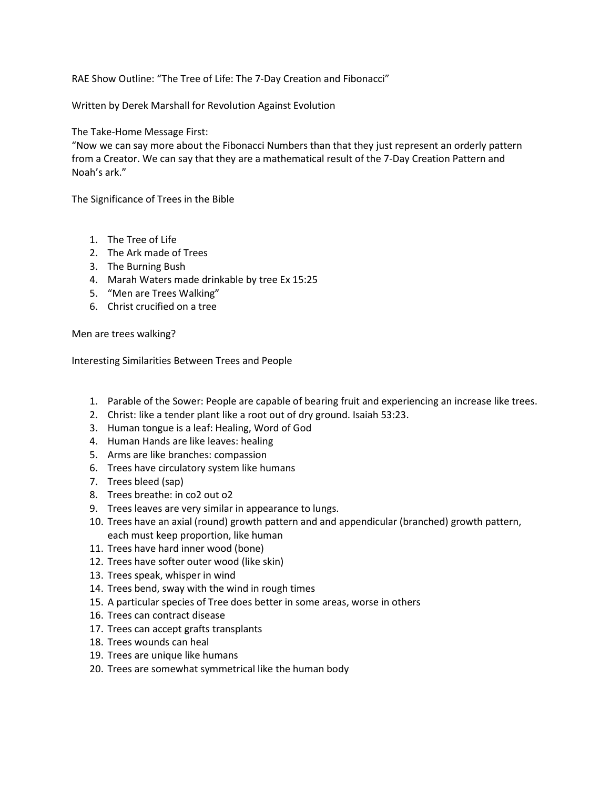RAE Show Outline: "The Tree of Life: The 7-Day Creation and Fibonacci"

Written by Derek Marshall for Revolution Against Evolution

The Take-Home Message First:

"Now we can say more about the Fibonacci Numbers than that they just represent an orderly pattern from a Creator. We can say that they are a mathematical result of the 7-Day Creation Pattern and Noah's ark."

The Significance of Trees in the Bible

- 1. The Tree of Life
- 2. The Ark made of Trees
- 3. The Burning Bush
- 4. Marah Waters made drinkable by tree Ex 15:25
- 5. "Men are Trees Walking"
- 6. Christ crucified on a tree

Men are trees walking?

Interesting Similarities Between Trees and People

- 1. Parable of the Sower: People are capable of bearing fruit and experiencing an increase like trees.
- 2. Christ: like a tender plant like a root out of dry ground. Isaiah 53:23.
- 3. Human tongue is a leaf: Healing, Word of God
- 4. Human Hands are like leaves: healing
- 5. Arms are like branches: compassion
- 6. Trees have circulatory system like humans
- 7. Trees bleed (sap)
- 8. Trees breathe: in co2 out o2
- 9. Trees leaves are very similar in appearance to lungs.
- 10. Trees have an axial (round) growth pattern and and appendicular (branched) growth pattern, each must keep proportion, like human
- 11. Trees have hard inner wood (bone)
- 12. Trees have softer outer wood (like skin)
- 13. Trees speak, whisper in wind
- 14. Trees bend, sway with the wind in rough times
- 15. A particular species of Tree does better in some areas, worse in others
- 16. Trees can contract disease
- 17. Trees can accept grafts transplants
- 18. Trees wounds can heal
- 19. Trees are unique like humans
- 20. Trees are somewhat symmetrical like the human body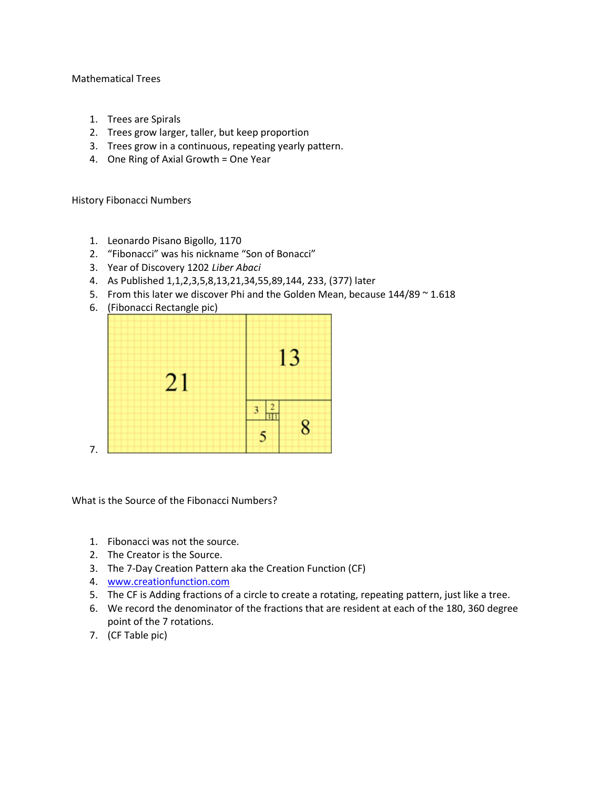## Mathematical Trees

- 1. Trees are Spirals
- 2. Trees grow larger, taller, but keep proportion
- 3. Trees grow in a continuous, repeating yearly pattern.
- 4. One Ring of Axial Growth = One Year

History Fibonacci Numbers

- 1. Leonardo Pisano Bigollo, 1170
- 2. "Fibonacci" was his nickname "Son of Bonacci"
- 3. Year of Discovery 1202 Liber Abaci
- 4. As Published 1,1,2,3,5,8,13,21,34,55,89,144, 233, (377) later
- 5. From this later we discover Phi and the Golden Mean, because 144/89 ~ 1.618
- 6. (Fibonacci Rectangle pic)



What is the Source of the Fibonacci Numbers?

- 1. Fibonacci was not the source.
- 2. The Creator is the Source.
- 3. The 7-Day Creation Pattern aka the Creation Function (CF)
- 4. www.creationfunction.com
- 5. The CF is Adding fractions of a circle to create a rotating, repeating pattern, just like a tree.
- 6. We record the denominator of the fractions that are resident at each of the 180, 360 degree point of the 7 rotations.
- 7. (CF Table pic)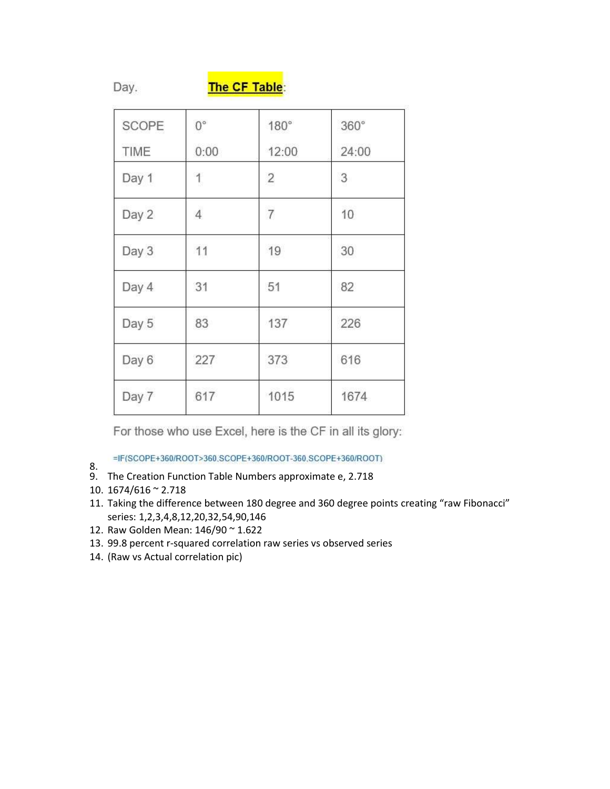Day.

## The CF Table:

| SCOPE<br>TIME | $0^{\circ}$<br>0:00 | 180°<br>12:00  | $360^\circ$<br>24:00 |
|---------------|---------------------|----------------|----------------------|
| Day 1         | 1                   | $\overline{2}$ | 3                    |
| Day 2         | $\overline{4}$      | $\overline{7}$ | 10                   |
| Day 3         | 11                  | 19             | 30                   |
| Day 4         | 31                  | 51             | 82                   |
| Day 5         | 83                  | 137            | 226                  |
| Day 6         | 227                 | 373            | 616                  |
| Day 7         | 617                 | 1015           | 1674                 |

For those who use Excel, here is the CF in all its glory:

=IF(SCOPE+360/ROOT>360.SCOPE+360/ROOT-360.SCOPE+360/ROOT)

- 8. 9. The Creation Function Table Numbers approximate e, 2.718
- 10. 1674/616 ~ 2.718
- 11. Taking the difference between 180 degree and 360 degree points creating "raw Fibonacci" series: 1,2,3,4,8,12,20,32,54,90,146
- 12. Raw Golden Mean: 146/90 ~ 1.622
- 13. 99.8 percent r-squared correlation raw series vs observed series
- 14. (Raw vs Actual correlation pic)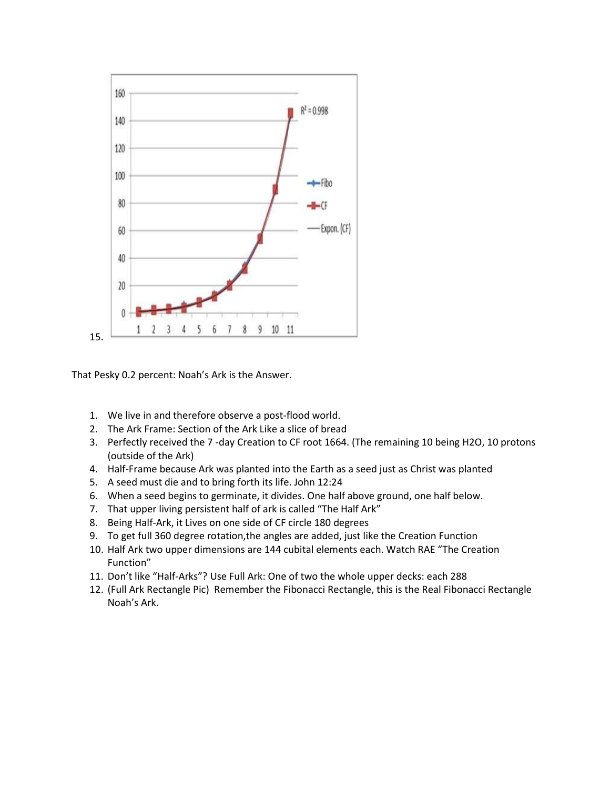

That Pesky 0.2 percent: Noah's Ark is the Answer.

- 1. We live in and therefore observe a post-flood world.
- 2. The Ark Frame: Section of the Ark Like a slice of bread
- 3. Perfectly received the 7 -day Creation to CF root 1664. (The remaining 10 being H2O, 10 protons (outside of the Ark)
- 4. Half-Frame because Ark was planted into the Earth as a seed just as Christ was planted
- 5. A seed must die and to bring forth its life. John 12:24
- 6. When a seed begins to germinate, it divides. One half above ground, one half below.
- 7. That upper living persistent half of ark is called "The Half Ark"
- 8. Being Half-Ark, it Lives on one side of CF circle 180 degrees
- 9. To get full 360 degree rotation,the angles are added, just like the Creation Function
- 10. Half Ark two upper dimensions are 144 cubital elements each. Watch RAE "The Creation Function"
- 11. Don't like "Half-Arks"? Use Full Ark: One of two the whole upper decks: each 288
- 12. (Full Ark Rectangle Pic) Remember the Fibonacci Rectangle, this is the Real Fibonacci Rectangle Noah's Ark.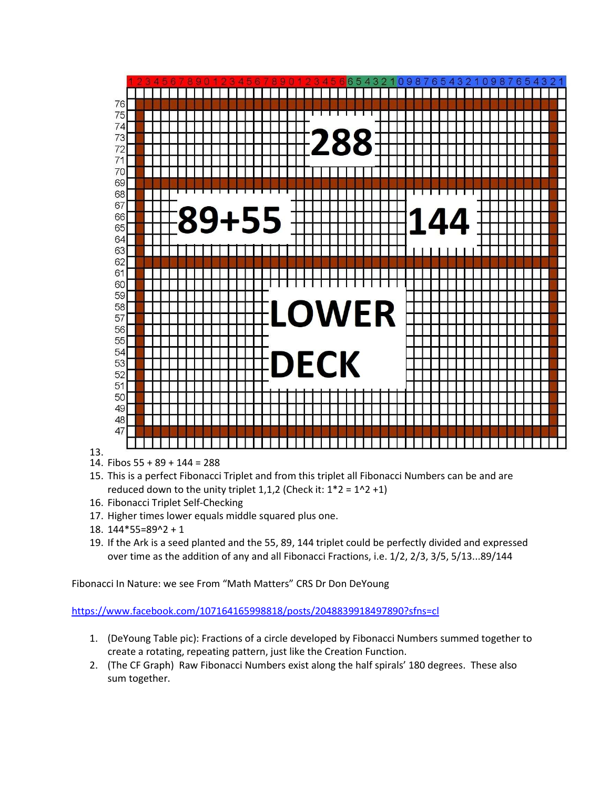

- 13.
- 14. Fibos 55 + 89 + 144 = 288
- 15. This is a perfect Fibonacci Triplet and from this triplet all Fibonacci Numbers can be and are reduced down to the unity triplet 1,1,2 (Check it:  $1*2 = 1^2 + 1$ )
- 16. Fibonacci Triplet Self-Checking
- 17. Higher times lower equals middle squared plus one.
- 18. 144\*55=89^2 + 1
- 19. If the Ark is a seed planted and the 55, 89, 144 triplet could be perfectly divided and expressed over time as the addition of any and all Fibonacci Fractions, i.e. 1/2, 2/3, 3/5, 5/13...89/144

Fibonacci In Nature: we see From "Math Matters" CRS Dr Don DeYoung

https://www.facebook.com/107164165998818/posts/2048839918497890?sfns=cl

- 1. (DeYoung Table pic): Fractions of a circle developed by Fibonacci Numbers summed together to create a rotating, repeating pattern, just like the Creation Function.
- 2. (The CF Graph) Raw Fibonacci Numbers exist along the half spirals' 180 degrees. These also sum together.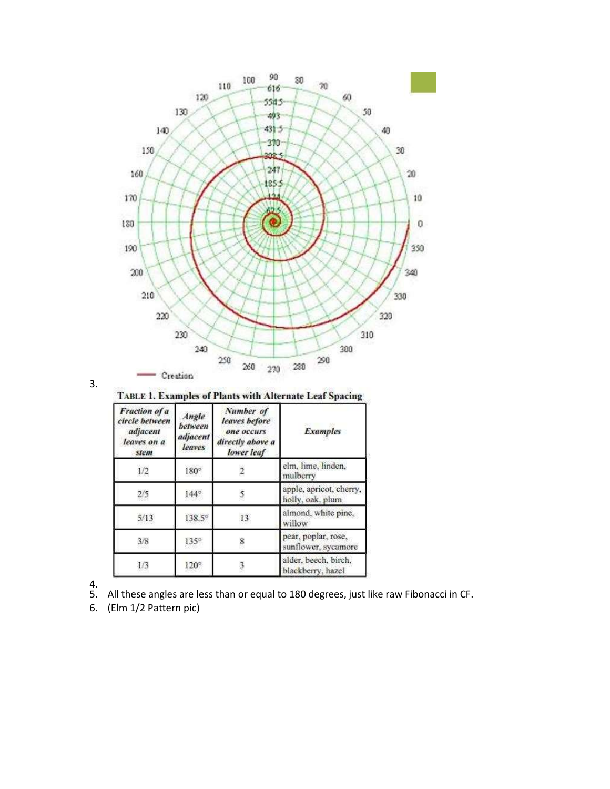

$$
\mathbf{3}.
$$

**TABLE 1. Examples of Plants with Alternate Leaf Spacing** 

| Fraction of a<br>circle between<br>adjacent<br>leaves on a<br>stem | Angle<br>between<br>adjacent<br>leaves | Number of<br>leaves before<br>one occurs<br>directly above a<br>lower leaf | <b>Examples</b>                             |
|--------------------------------------------------------------------|----------------------------------------|----------------------------------------------------------------------------|---------------------------------------------|
| 1/2                                                                | $180^\circ$                            |                                                                            | elm, lime, linden,<br>mulberry              |
| 2/5                                                                | $144^\circ$                            |                                                                            | apple, apricot, cherry,<br>holly, oak, plum |
| 5/13                                                               | 138.5°                                 | 13                                                                         | almond, white pine,<br>willow               |
| 3/8                                                                | $135^\circ$                            |                                                                            | pear, poplar, rose,<br>sunflower, sycamore  |
| 1/3                                                                | 120°                                   |                                                                            | alder, beech, birch,<br>blackberry, hazel   |

- $\frac{4}{5}$ . All these angles are less than or equal to 180 degrees, just like raw Fibonacci in CF.
- 6. (Elm 1/2 Pattern pic)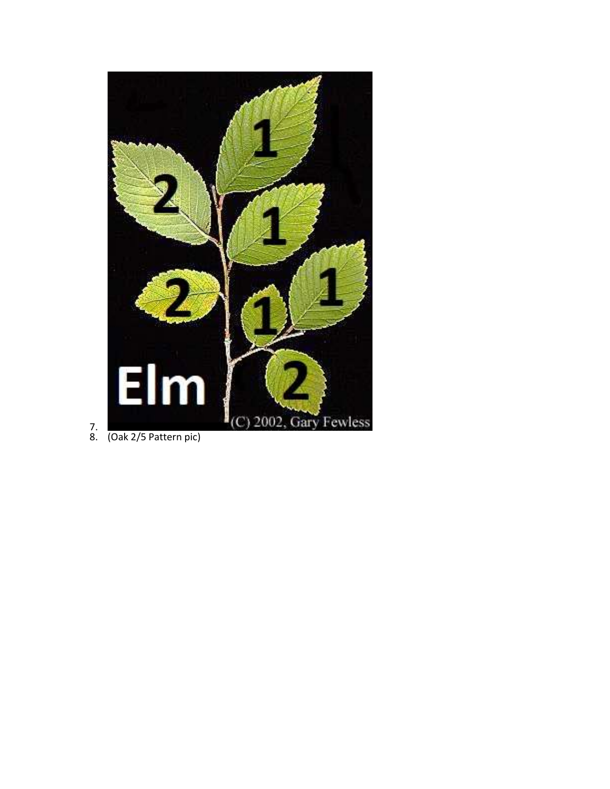

7. 8. (Oak 2/5 Pattern pic)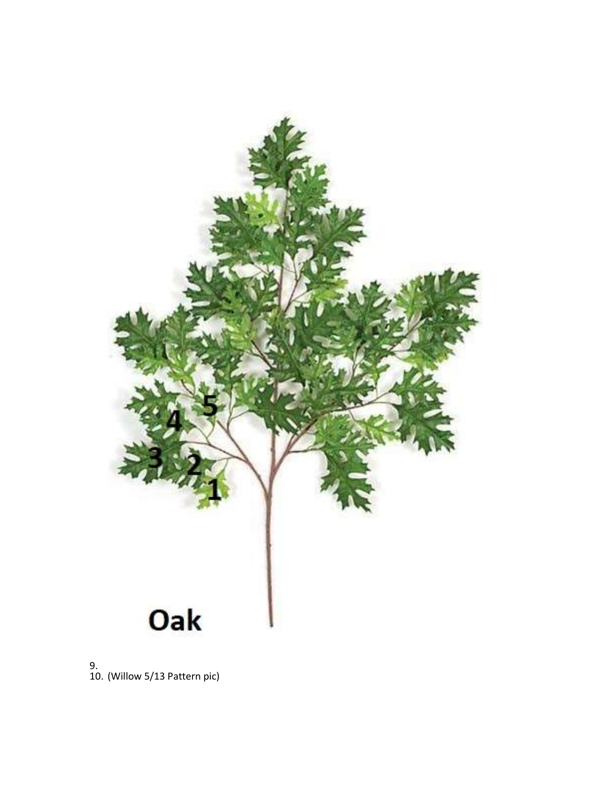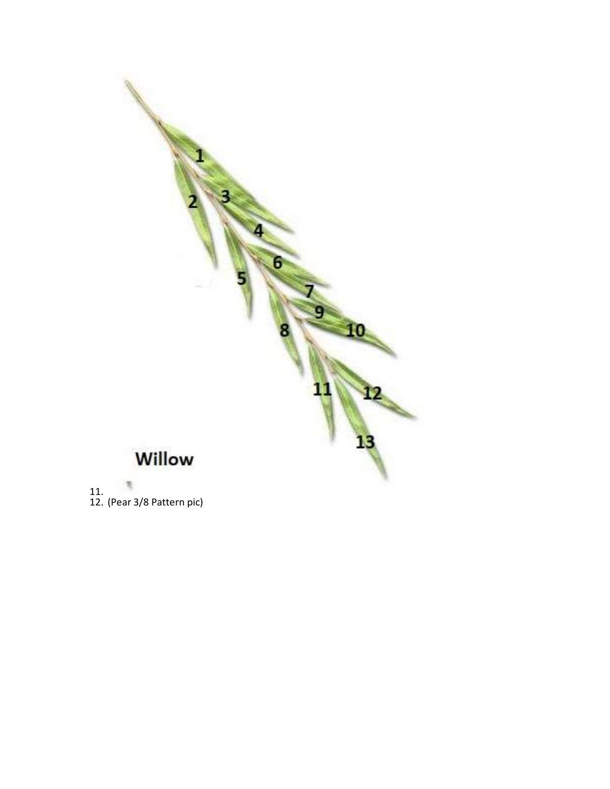

12. (Pear 3/8 Pattern pic)